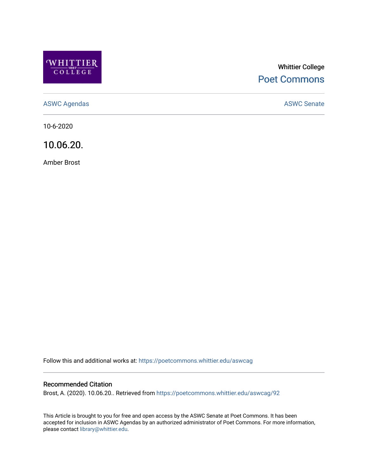

# Whittier College [Poet Commons](https://poetcommons.whittier.edu/)

[ASWC Agendas](https://poetcommons.whittier.edu/aswcag) **ASWC Senate** 

10-6-2020

10.06.20.

Amber Brost

Follow this and additional works at: [https://poetcommons.whittier.edu/aswcag](https://poetcommons.whittier.edu/aswcag?utm_source=poetcommons.whittier.edu%2Faswcag%2F92&utm_medium=PDF&utm_campaign=PDFCoverPages) 

# Recommended Citation

Brost, A. (2020). 10.06.20.. Retrieved from [https://poetcommons.whittier.edu/aswcag/92](https://poetcommons.whittier.edu/aswcag/92?utm_source=poetcommons.whittier.edu%2Faswcag%2F92&utm_medium=PDF&utm_campaign=PDFCoverPages) 

This Article is brought to you for free and open access by the ASWC Senate at Poet Commons. It has been accepted for inclusion in ASWC Agendas by an authorized administrator of Poet Commons. For more information, please contact [library@whittier.edu](mailto:library@whittier.edu).